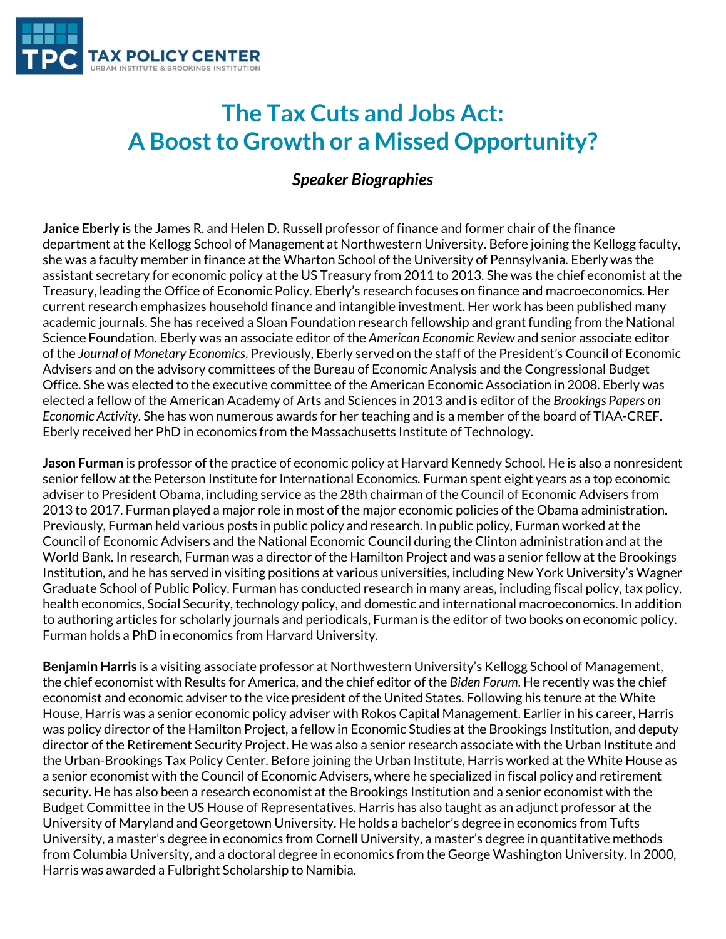

## **The Tax Cuts and Jobs Act: A Boost to Growth or a Missed Opportunity?**

## *Speaker Biographies*

**Janice Eberly** is the James R. and Helen D. Russell professor of finance and former chair of the finance department at the Kellogg School of Management at Northwestern University. Before joining the Kellogg faculty, she was a faculty member in finance at the Wharton School of the University of Pennsylvania. Eberly was the assistant secretary for economic policy at the US Treasury from 2011 to 2013. She was the chief economist at the Treasury, leading the Office of Economic Policy. Eberly's research focuses on finance and macroeconomics. Her current research emphasizes household finance and intangible investment. Her work has been published many academic journals. She has received a Sloan Foundation research fellowship and grant funding from the National Science Foundation. Eberly was an associate editor of the *American Economic Review* and senior associate editor of the *Journal of Monetary Economics*. Previously, Eberly served on the staff of the President's Council of Economic Advisers and on the advisory committees of the Bureau of Economic Analysis and the Congressional Budget Office. She was elected to the executive committee of the American Economic Association in 2008. Eberly was elected a fellow of the American Academy of Arts and Sciences in 2013 and is editor of the *Brookings Papers on Economic Activity*. She has won numerous awards for her teaching and is a member of the board of TIAA-CREF. Eberly received her PhD in economics from the Massachusetts Institute of Technology.

**Jason Furman** is professor of the practice of economic policy at Harvard Kennedy School. He is also a nonresident senior fellow at the Peterson Institute for International Economics. Furman spent eight years as a top economic adviser to President Obama, including service as the 28th chairman of the Council of Economic Advisers from 2013 to 2017. Furman played a major role in most of the major economic policies of the Obama administration. Previously, Furman held various posts in public policy and research. In public policy, Furman worked at the Council of Economic Advisers and the National Economic Council during the Clinton administration and at the World Bank. In research, Furman was a director of the Hamilton Project and was a senior fellow at the Brookings Institution, and he has served in visiting positions at various universities, including New York University's Wagner Graduate School of Public Policy. Furman has conducted research in many areas, including fiscal policy, tax policy, health economics, Social Security, technology policy, and domestic and international macroeconomics. In addition to authoring articles for scholarly journals and periodicals, Furman is the editor of two books on economic policy. Furman holds a PhD in economics from Harvard University.

**Benjamin Harris** is a visiting associate professor at Northwestern University's Kellogg School of Management, the chief economist with Results for America, and the chief editor of the *Biden Forum*. He recently was the chief economist and economic adviser to the vice president of the United States. Following his tenure at the White House, Harris was a senior economic policy adviser with Rokos Capital Management. Earlier in his career, Harris was policy director of the Hamilton Project, a fellow in Economic Studies at the Brookings Institution, and deputy director of the Retirement Security Project. He was also a senior research associate with the Urban Institute and the Urban-Brookings Tax Policy Center. Before joining the Urban Institute, Harris worked at the White House as a senior economist with the Council of Economic Advisers, where he specialized in fiscal policy and retirement security. He has also been a research economist at the Brookings Institution and a senior economist with the Budget Committee in the US House of Representatives. Harris has also taught as an adjunct professor at the University of Maryland and Georgetown University. He holds a bachelor's degree in economics from Tufts University, a master's degree in economics from Cornell University, a master's degree in quantitative methods from Columbia University, and a doctoral degree in economics from the George Washington University. In 2000, Harris was awarded a Fulbright Scholarship to Namibia.